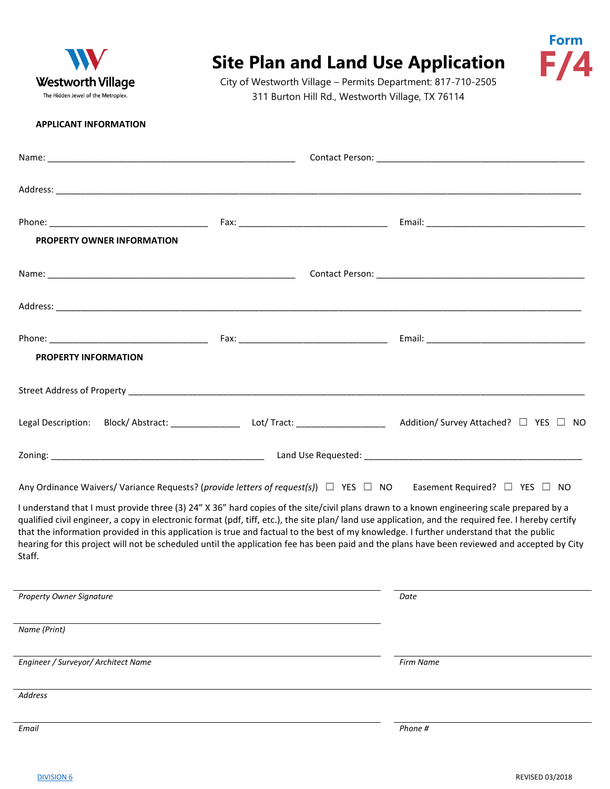

## **Site Plan and Land Use Application**

City of Westworth Village – Permits Department: 817-710-2505 311 Burton Hill Rd., Westworth Village, TX 76114

## **APPLICANT INFORMATION**

| <b>PROPERTY OWNER INFORMATION</b>   |                                                                                                                                                                                                                                                                                                                                                                                                                                                                                                                                                                                                                                                                                                                                       |  |
|-------------------------------------|---------------------------------------------------------------------------------------------------------------------------------------------------------------------------------------------------------------------------------------------------------------------------------------------------------------------------------------------------------------------------------------------------------------------------------------------------------------------------------------------------------------------------------------------------------------------------------------------------------------------------------------------------------------------------------------------------------------------------------------|--|
|                                     |                                                                                                                                                                                                                                                                                                                                                                                                                                                                                                                                                                                                                                                                                                                                       |  |
|                                     |                                                                                                                                                                                                                                                                                                                                                                                                                                                                                                                                                                                                                                                                                                                                       |  |
| <b>PROPERTY INFORMATION</b>         |                                                                                                                                                                                                                                                                                                                                                                                                                                                                                                                                                                                                                                                                                                                                       |  |
|                                     |                                                                                                                                                                                                                                                                                                                                                                                                                                                                                                                                                                                                                                                                                                                                       |  |
|                                     | Legal Description: Block/Abstract: _________________________ Lot/Tract: __________________________ Addition/Survey Attached? □ YES □ NO                                                                                                                                                                                                                                                                                                                                                                                                                                                                                                                                                                                               |  |
|                                     |                                                                                                                                                                                                                                                                                                                                                                                                                                                                                                                                                                                                                                                                                                                                       |  |
| Staff.                              | Any Ordinance Waivers/ Variance Requests? (provide letters of request(s)) $\Box$ YES $\Box$ NO Easement Required? $\Box$ YES $\Box$ NO<br>I understand that I must provide three (3) 24" X 36" hard copies of the site/civil plans drawn to a known engineering scale prepared by a<br>qualified civil engineer, a copy in electronic format (pdf, tiff, etc.), the site plan/land use application, and the required fee. I hereby certify<br>that the information provided in this application is true and factual to the best of my knowledge. I further understand that the public<br>hearing for this project will not be scheduled until the application fee has been paid and the plans have been reviewed and accepted by City |  |
| <b>Property Owner Signature</b>     | Date                                                                                                                                                                                                                                                                                                                                                                                                                                                                                                                                                                                                                                                                                                                                  |  |
| Name (Print)                        |                                                                                                                                                                                                                                                                                                                                                                                                                                                                                                                                                                                                                                                                                                                                       |  |
| Engineer / Surveyor/ Architect Name | <b>Firm Name</b>                                                                                                                                                                                                                                                                                                                                                                                                                                                                                                                                                                                                                                                                                                                      |  |
| <b>Address</b>                      |                                                                                                                                                                                                                                                                                                                                                                                                                                                                                                                                                                                                                                                                                                                                       |  |
| Email                               | Phone #                                                                                                                                                                                                                                                                                                                                                                                                                                                                                                                                                                                                                                                                                                                               |  |

**Form**

**F/4**